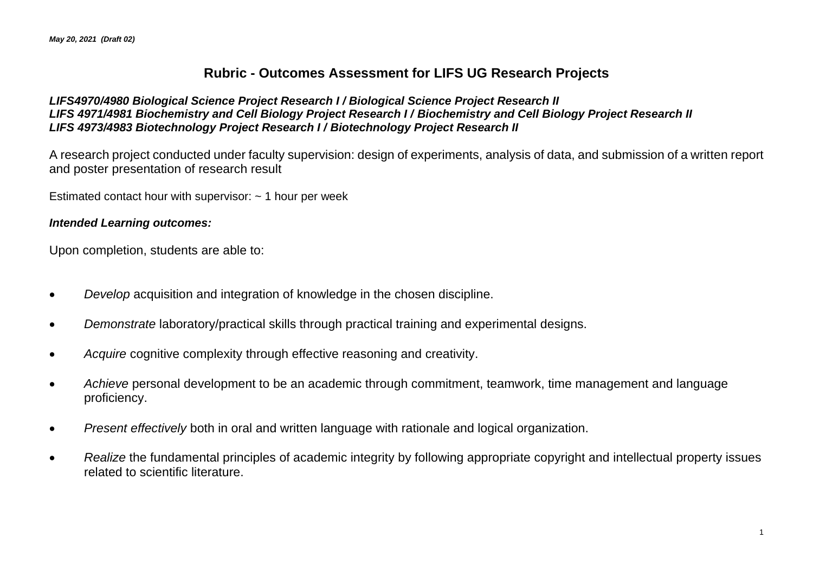## **Rubric - Outcomes Assessment for LIFS UG Research Projects**

### *LIFS4970/4980 Biological Science Project Research I / Biological Science Project Research II LIFS 4971/4981 Biochemistry and Cell Biology Project Research I / Biochemistry and Cell Biology Project Research II LIFS 4973/4983 Biotechnology Project Research I / Biotechnology Project Research II*

A research project conducted under faculty supervision: design of experiments, analysis of data, and submission of a written report and poster presentation of research result

Estimated contact hour with supervisor:  $\sim$  1 hour per week

### *Intended Learning outcomes:*

Upon completion, students are able to:

- *Develop* acquisition and integration of knowledge in the chosen discipline.
- *Demonstrate* laboratory/practical skills through practical training and experimental designs.
- *Acquire* cognitive complexity through effective reasoning and creativity.
- *Achieve* personal development to be an academic through commitment, teamwork, time management and language proficiency.
- *Present effectively* both in oral and written language with rationale and logical organization.
- *Realize* the fundamental principles of academic integrity by following appropriate copyright and intellectual property issues related to scientific literature.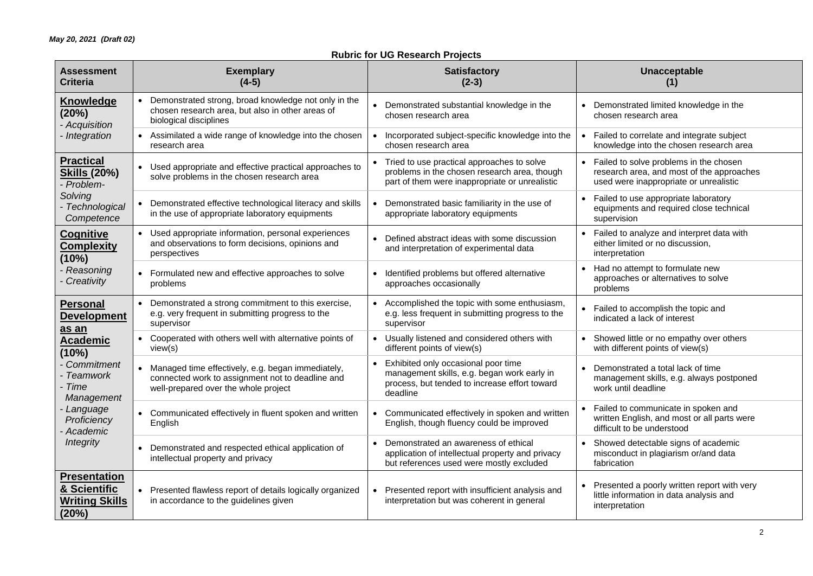### **Rubric for UG Research Projects**

| <b>Assessment</b><br><b>Criteria</b>                                                                                                                                                         |           | <b>Exemplary</b><br>$(4-5)$                                                                                                                   |           | <b>Satisfactory</b><br>$(2-3)$                                                                                                                  |           | Unacceptable<br>(1)                                                                                                           |
|----------------------------------------------------------------------------------------------------------------------------------------------------------------------------------------------|-----------|-----------------------------------------------------------------------------------------------------------------------------------------------|-----------|-------------------------------------------------------------------------------------------------------------------------------------------------|-----------|-------------------------------------------------------------------------------------------------------------------------------|
| Knowledge<br>(20%)<br>- Acquisition<br>Integration                                                                                                                                           | $\bullet$ | Demonstrated strong, broad knowledge not only in the<br>chosen research area, but also in other areas of<br>biological disciplines            | $\bullet$ | Demonstrated substantial knowledge in the<br>chosen research area                                                                               |           | Demonstrated limited knowledge in the<br>chosen research area                                                                 |
|                                                                                                                                                                                              |           | • Assimilated a wide range of knowledge into the chosen<br>research area                                                                      | $\bullet$ | Incorporated subject-specific knowledge into the<br>chosen research area                                                                        |           | Failed to correlate and integrate subject<br>knowledge into the chosen research area                                          |
| <b>Practical</b><br><b>Skills (20%)</b><br>Problem-<br>Solving<br>Technological<br>Competence                                                                                                |           | • Used appropriate and effective practical approaches to<br>solve problems in the chosen research area                                        |           | • Tried to use practical approaches to solve<br>problems in the chosen research area, though<br>part of them were inappropriate or unrealistic  |           | Failed to solve problems in the chosen<br>research area, and most of the approaches<br>used were inappropriate or unrealistic |
|                                                                                                                                                                                              | $\bullet$ | Demonstrated effective technological literacy and skills<br>in the use of appropriate laboratory equipments                                   |           | Demonstrated basic familiarity in the use of<br>appropriate laboratory equipments                                                               | $\bullet$ | Failed to use appropriate laboratory<br>equipments and required close technical<br>supervision                                |
| Cognitive<br><b>Complexity</b><br>(10%)<br>Reasoning<br>Creativity                                                                                                                           |           | • Used appropriate information, personal experiences<br>and observations to form decisions, opinions and<br>perspectives                      |           | Defined abstract ideas with some discussion<br>and interpretation of experimental data                                                          | $\bullet$ | Failed to analyze and interpret data with<br>either limited or no discussion,<br>interpretation                               |
|                                                                                                                                                                                              |           | • Formulated new and effective approaches to solve<br>problems                                                                                | $\bullet$ | Identified problems but offered alternative<br>approaches occasionally                                                                          |           | Had no attempt to formulate new<br>approaches or alternatives to solve<br>problems                                            |
| <b>Personal</b><br><b>Development</b><br>as an<br><b>Academic</b><br>(10%)<br>Commitment<br><b>Teamwork</b><br>Time<br>Management<br>Language<br>Proficiency<br>Academic<br><b>Integrity</b> | $\bullet$ | Demonstrated a strong commitment to this exercise,<br>e.g. very frequent in submitting progress to the<br>supervisor                          |           | • Accomplished the topic with some enthusiasm,<br>e.g. less frequent in submitting progress to the<br>supervisor                                |           | Failed to accomplish the topic and<br>indicated a lack of interest                                                            |
|                                                                                                                                                                                              |           | • Cooperated with others well with alternative points of<br>view(s)                                                                           |           | • Usually listened and considered others with<br>different points of view(s)                                                                    |           | Showed little or no empathy over others<br>with different points of view(s)                                                   |
|                                                                                                                                                                                              |           | Managed time effectively, e.g. began immediately,<br>connected work to assignment not to deadline and<br>well-prepared over the whole project |           | Exhibited only occasional poor time<br>management skills, e.g. began work early in<br>process, but tended to increase effort toward<br>deadline |           | Demonstrated a total lack of time<br>management skills, e.g. always postponed<br>work until deadline                          |
|                                                                                                                                                                                              |           | • Communicated effectively in fluent spoken and written<br>English                                                                            |           | Communicated effectively in spoken and written<br>English, though fluency could be improved                                                     |           | Failed to communicate in spoken and<br>written English, and most or all parts were<br>difficult to be understood              |
|                                                                                                                                                                                              |           | Demonstrated and respected ethical application of<br>intellectual property and privacy                                                        |           | Demonstrated an awareness of ethical<br>application of intellectual property and privacy<br>but references used were mostly excluded            | $\bullet$ | Showed detectable signs of academic<br>misconduct in plagiarism or/and data<br>fabrication                                    |
| <b>Presentation</b><br>& Scientific<br><b>Writing Skills</b><br>(20%)                                                                                                                        | $\bullet$ | Presented flawless report of details logically organized<br>in accordance to the guidelines given                                             |           | Presented report with insufficient analysis and<br>interpretation but was coherent in general                                                   |           | Presented a poorly written report with very<br>little information in data analysis and<br>interpretation                      |